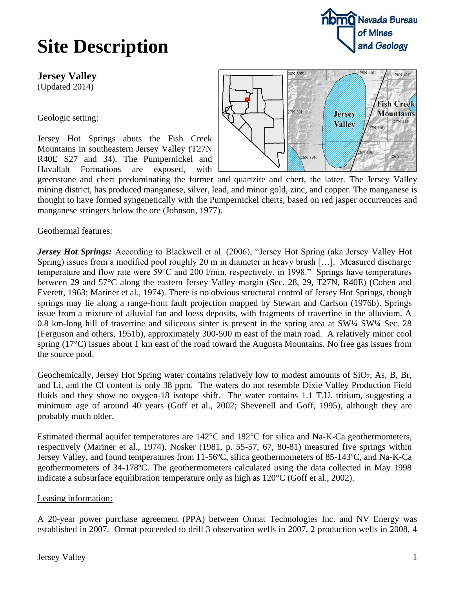## **Site Description**

**Jersey Valley**

(Updated 2014)

Geologic setting:

Jersey Hot Springs abuts the Fish Creek Mountains in southeastern Jersey Valley (T27N R40E S27 and 34). The Pumpernickel and Havallah Formations are exposed, with



greenstone and chert predominating the former and quartzite and chert, the latter. The Jersey Valley mining district, has produced manganese, silver, lead, and minor gold, zinc, and copper. The manganese is thought to have formed syngenetically with the Pumpernickel cherts, based on red jasper occurrences and manganese stringers below the ore (Johnson, 1977).

Geothermal features:

*Jersey Hot Springs:* According to Blackwell et al. (2006), "Jersey Hot Spring (aka Jersey Valley Hot Spring) issues from a modified pool roughly 20 m in diameter in heavy brush […]. Measured discharge temperature and flow rate were 59°C and 200 l/min, respectively, in 1998." Springs have temperatures between 29 and 57°C along the eastern Jersey Valley margin (Sec. 28, 29, T27N, R40E) (Cohen and Everett, 1963; Mariner et al., 1974). There is no obvious structural control of Jersey Hot Springs, though springs may lie along a range-front fault projection mapped by Stewart and Carlson (1976b). Springs issue from a mixture of alluvial fan and loess deposits, with fragments of travertine in the alluvium. A 0.8 km-long hill of travertine and siliceous sinter is present in the spring area at SW¼ SW¼ Sec. 28 (Ferguson and others, 1951b), approximately 300-500 m east of the main road. A relatively minor cool spring (17°C) issues about 1 km east of the road toward the Augusta Mountains. No free gas issues from the source pool.

Geochemically, Jersey Hot Spring water contains relatively low to modest amounts of SiO2, As, B, Br, and Li, and the Cl content is only 38 ppm. The waters do not resemble Dixie Valley Production Field fluids and they show no oxygen-18 isotope shift. The water contains 1.1 T.U. tritium, suggesting a minimum age of around 40 years (Goff et al., 2002; Shevenell and Goff, 1995), although they are probably much older.

Estimated thermal aquifer temperatures are 142°C and 182°C for silica and Na-K-Ca geothermometers, respectively (Mariner et al., 1974). Nosker (1981, p. 55-57, 67, 80-81) measured five springs within Jersey Valley, and found temperatures from 11-56ºC, silica geothermometers of 85-143ºC, and Na-K-Ca geothermometers of 34-178ºC. The geothermometers calculated using the data collected in May 1998 indicate a subsurface equilibration temperature only as high as 120°C (Goff et al., 2002).

## Leasing information:

A 20-year power purchase agreement (PPA) between Ormat Technologies Inc. and NV Energy was established in 2007. Ormat proceeded to drill 3 observation wells in 2007, 2 production wells in 2008, 4